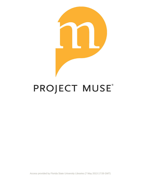

# PROJECT MUSE®

Access provided by Florida State University Libraries (7 May 2013 17:59 GMT)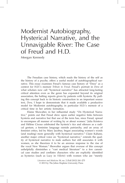# Modernist Autobiography, Hysterical Narrative, and the Unnavigable River: The Case of Freud and H.D.

Meegan Kennedy

The Freudian case history, which reads the history of the self as the history of a psyche, offers a useful model of autobiographical narrative. This essay examines Freud's famous case history of "Dora" as a context for H.D.'s memoir *Tribute to Freud*. Freud's portrait in *Dora* of what scholars now call "hysterical narrative" has attracted long-lasting critical attention even as the genre has expanded beyond its original association, the halting reports given by patients with hysteria. By pulling this concept back to its historic construction in an important source text, *Dora*, I hope to demonstrate that it made available a productive model for Modernist autobiography, in particular H.D.'s memoir of a critical time in her artistic formation.

Elaine Showalter, in her influential study "On Hysterical Narrative," points out that Freud drew upon earlier negative links between hysteria and narrative but that use of the term has, since Freud, spread to encompass all manner of writing by or about women.<sup>1</sup> Julia Kristeva and Hélène Cixous celebrated the hysteric's tics and silences as a radical gesture, a feminine language outside patriarchy, and an array of feminist critics, led by Mary Jacobus, began associating women's words (and reading) more generally with hysterical narrative.<sup>2</sup> Claire Kahane, another major critical voice on "hysterical narrative," extends the quality of hysterical narrative to male authors but still associates it with women, as she theorizes it to be an anxious response to the rise of the vocal New Woman.<sup>3</sup> Showalter argues that overuse of this concept unhelpfully diminishes a "vast medical literature" to a few canonical case studies and conflates characters who are explicitly identified as hysterics (such as Lucy in *Villette*) with women who are "merely

> *Literature and Medicine* 30, no. 2 (Fall 2012) 241–275 © 2013 by The Johns Hopkins University Press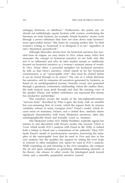unhappy, histrionic, or rebellious." Furthermore, she points out, we should not unthinkingly equate hysteria with women, overlooking the literature on male hysteria; for example, female hysterics' stories work through a power imbalance that does not close down male hysterics' more open-ended stories.<sup>4</sup> She closes by warning readers that "to label" women's writing as 'hysterical' is to denigrate it as art," regardless of one's theoretical groundwork.<sup>5</sup>

Although Showalter decries how far hysterical narrative has traveled from its origins, we may return to *Dora*, where many critics first encounter the concept of hysterical narrative, to see both why this text is so influential and why its later readers remain so stubbornly focused on hysterical narrative as a woman's resistant stream of words. In *Dora*, Freud offers a powerful metaphor for hysterical narrative: he tells us that Dora's narrative, which stands in for her hysterical consciousness, is an "unnavigable river" that must be cleared before it can be traced through to its source.<sup>6</sup> The case as a whole theorizes her narrative, and by extension all narratives generated by hysterics, as based on an autobiographical journey, formally vexed, and generated through a gendered, contestatory relationship, where the auditor (here, the male analyst) must push through and clear the resisting voice of the speaker (Dora), and neither contributor can transcend this stormy but productive partnership.<sup>7</sup>

This construct revises the model of the late-eighteenth-century "nervous body" described by Peter Logan, the body with an unstable but ever-streaming flow of words, which (he argues) finds its anxious volubility echoed in many Georgian texts.<sup>8</sup> Freud's model, which focuses more on resistance, friction, and a clotted flow, similarly shares significant characteristics with many Modernist narratives, often also autobiographically based and formally vexed or 'resistant.'

One Modernist writer, H.D. (Hilda Doolittle), explicitly signals her interest in and discomfort with Freud's model. Her memoir *Tribute to Freud*, which recalls H.D.'s analysis with Freud in the 1930s, is indeed both a tribute to Freud and a contestation of his authority.<sup>9</sup> Here H.D. lauds Freud's model of psychoanalytic narrative, borrowing the metaphor of the unnavigable river that he used in *Dora* and also in her own analysis; but she qualifies her support by setting the river trope in contrast to other metaphors (oil, spear) he used in H.D.'s analysis. While expanding on and returning to the river metaphor, she critiques the oil and spear metaphors as gendering, differentiating elements of his theory; she refuses, in other words, his teleological push toward clarity and a smoothly purposeful narrative current.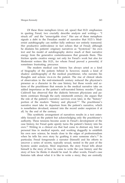Of these three metaphors (river, oil, spear) that H.D. emphasizes in quoting Freud, two crucially describe analysis and writing— "I struck oil" and the "unnavigable river." Her use of these metaphors signals a debt to the Freudian model of narrative that H.D.'s Modernist autobiography can neither fully embrace nor entirely transcend. Her productive ambivalence in fact echoes that of Freud; although he disdains his patients' originary narratives as "hysterical," his own text and his model of autobiography derive much of their narrative energy from the generative contentiousness that grounds them. This friction sparks creative energy not only for Freud's work but also for Modernist writers like H.D., for whom Freud proved a powerful, if sometimes frustrating, precursor.

The modern medical case history has always acted as a kind of biography of the patient; behind it, however, stands a kind of shadow autobiography of the medical practitioner, who narrates his thoughts and actions vis-à-vis the patient. The rise of clinical ideals of observation in the mid-nineteenth century reduced the physician's presence as a character in the case history, but those words and actions of the practitioner that remain in the medical narrative take on added importance as the patient's self-narrated history recedes.<sup>10</sup> Janis Caldwell has observed that the dialectic between physicians and patients continues through the early nineteenth century; she argues that the role of the patient's narrative survives even later, in the "history" portion of the modern "history and physical."<sup>11</sup> The practitioner's narrative must take its departure from the patient's narrative, which is nonetheless devalued, entered into the record under suspicion if at all, by the end of the century.

This symbiotic arrangement of narratives results in a text ostensibly focused on the patient but acknowledging only the practitioner's authority. These tensions become acute in Freud's development of the case history, for Freud quite openly turns the patient's history into his own.<sup>12</sup> Writing in a clinical era that had come to distrust any hint of personal bias in medical reports, and working doggedly to establish his own new science, he treads close to the edges of professionalism when he tells his own story by grafting it onto someone else's.<sup>13</sup> In particular, Freud foregrounds a narrator (himself) and his efforts to uncover a series of secrets, typically sexual, nested in the past of the hysteric under analysis. Most important, the story Freud tells about himself is the story of how he came to write the case history and the story of how he thinks it should be read. In other words, Freud's case histories talk about what it is like to write a story; they are centrally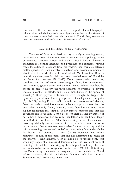concerned with the process of narrative, in particular autobiographical narrative, which they code in a figure evocative of the stream of consciousness: a troubled river. My interest in Freud, then, centers on how he generates and authorizes his narrative of the self.

#### *Dora* and the Strains of Dual Authorship

The case of Dora is a classic of psychoanalysis, offering reason, interpretation, leaps of intuition, sexual tension, and a pulsing drama of resistance between patient and analyst. Freud declares himself a champion of scientific language and procedure and expresses himself ready for outraged resistance from his readers, then oscillates between matter specific to Dora's evolving analysis and anxious commentary about how his work should be understood. We learn that Dora, a neurotic eighteen-year-old girl, has been "handed over to" Freud by her father for treatment (*D*, 12–13). Dora presents with headaches, coughing, and loss of voice, progressing to fever, loss of consciousness, amnesia, gastric pains, and aphonia. Freud reflects that here he should be able to discern the three elements of hysteria: "a psychic trauma, a conflict of affects, and . . . a disturbance in the sphere of sexuality"; these psychic disturbances were thought to trigger the hysteric's physical symptoms by a process of analogy and contiguity (*D*, 18).<sup>14</sup> By urging Dora to talk through her memories and denials, Freud unravels a vertiginous series of layers of prior causes: her disgust when a family friend, Herr K., kisses her; her desire for Herr K.; her realization that Frau K. is her father's mistress and that her governess also loves him; Dora's desire for Herr K.; her awareness of her father's impotence; her desire for her father; and her (most deeply buried) desire for Frau K. After this dizzying series of conclusions, involving virtually every character in the narrative, Freud performs two extended dream analyses, remarkable for their wordplay and intuitive reasoning process and, as before, interpreting Dora's denials by the dictum "'No' signifies . . . 'Yes'" (*D*, 51). However, Dora calmly announces to him at this point that she has determined to break off the analysis. Freud laments, "Her breaking off so unexpectedly, just when my hopes of a successful termination of the treatment were at their highest, and her thus bringing those hopes to nothing—this was an unmistakable act of vengeance on her part" (*D*, 100). It is fitting that Dora's story, punctuated so frequently by her denials that Freud refuses to accept, should conclude with her own refusal to continue. Sometimes "no" really does mean "no."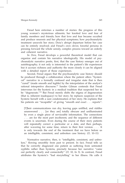Freud here entwines a number of stories: the progress of this young woman's mysterious ailments; her knotted love and fear of family members and friends; how that love and fear became occulted and produce neurosis and her physical symptoms; how psychoanalytic treatment unravels her story; Dora's abrupt departure before her case can be entirely resolved; and Freud's own clever, forceful persona in pressing forward the whole unruly, complex process toward an orderly and coherent narrative.

In *Dora*, Freud develops a powerful theoretical model that can organize and contain his narrative ideologically. His model of psychoanalytic narrative posits, first, that the case history emerges out of autobiography; it not only is interested in the patient's life experiences but it accrues richness and authority the more closely it can be aligned with a detailed report of those experiences.

Second, Freud argues that the psychoanalytic case history should be produced through a collaboration where the patient offers "hysterical" narrative in a formally confused and irregular state that is then "cured" (made smooth and legible) by the interpolation of the analyst's rational interpretive discourse.<sup>15</sup> Sander Gilman contends that Freud intervenes for the hysteric in a medical tradition that suspected her to be "degenerate."<sup>16</sup> But Freud merely shifts the stigma of degeneration (that is, inherent inadequacy) to her story; he replaces suspicion of the hysteric herself with a sure condemnation of her story. He explains that his patients are "incapable" of giving "smooth and exact . . . reports":

[T]heir communications run dry, leaving gaps unfilled, and riddles unanswered . . . [or they are] totally obscure and unilluminated by even a single piece of serviceable information. The connections . . . are for the most part incoherent, and the sequence of different events is uncertain. Even during the course of their story patients will repeatedly correct a particular or a date, and then perhaps, after wavering for some time, return to their first version. . . . It is only towards the end of the treatment that we have before us an intelligible, consistent, and unbroken case history. (*D*, 10–11)

Normative narrative, then, is "intelligible, consistent, and unbroken," flowing smoothly from past to present. In fact, Freud tells us that he correctly diagnosed one patient as suffering from untreated syphilis rather than hysteria, precisely because her narrative "came out perfectly clearly and connectedly" (*D*, 10, fn 3). In contrast, Freud attributes the hysteric's "bad storytelling" to her illness. He calls it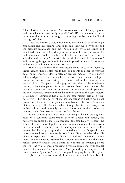"characteristic of the neurosis," "a necessary correlate of the symptoms and one which is theoretically requisite" (*D*, 11). If a smooth narrative represents the cure, a dry, rough, or winding one becomes for Freud the sign of illness.

Thus, the hysteric's story needs first to be cajoled out of her through association and questioning (and in Freud's early work, hypnosis and the pressure technique), and then "disciplined" by being edited and annotated. Freud sees this discipline as a scientific one: he insistently makes reference to this via his "duties toward science," the "purely scientific and technical" context of his work, his scientific "frankness," and his struggle against "the limitations imposed by medical discretion and unfavourable circumstances" (*D*, 2–3).

While it is assumed that Dora needs Freud to cure her hysteria, Freud admits that he also needs her, or patients like her, to provide data for his theories. Most nineteenth-century medical writing barely acknowledges the collaboration between doctor and patient that produces the medical case history, but Freud makes their mutual reliance explicit.<sup>17</sup> Compared to the physical medicine of the nineteenth century, where the patient is more passive, Freud must rely on the patient's production and dissemination of memory, which provides his raw materials. Without them he cannot produce the case history. If, as Robert Hemmings has argued, the case history acts as a "surnarrative,"<sup>18</sup> then the power of the psychoanalytic text relies on a dual production of narrative: the patient's narrative and the doctor's version of that narrative. The female patient, though her text is portrayed as garbled, thus could arguably be most important in this productive relation, given her role as "originator" of the text.

If the clinical practice of Freud's early psychoanalysis arguably rests on a contested collaboration between doctor and patient, the narrative produced by that collaboration—the case history—records the strains of their relationship. For instance, commentators on Freud's work have examined his shifting use of direct quotation. Carol Berkenkotter argues that Freud privileges direct quotations of Dora's speech only in certain sections of the case history.<sup>19</sup> She discusses what she calls "Freud's experimental uses of direct and indirect quotations, monologue, and dialogue to capture his patients' utterances and the interactions between analyst and patient" as a means of "bringing before the eye" the vital scenes, producing a verisimilitude that will compel belief in his readers. She sees this as "foregrounding techniques Freud uses to create "presence," or . . . *enargeia* ('bringing before the eyes'). . . . [H]is narrative gains in verisimilitude and, as a result, in epistemic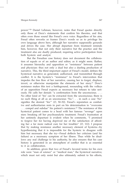power."<sup>20</sup> Daniel Lehman, however, notes that Freud quotes directly only those of Dora's statements that confirm his theories, and that often even those sound like Freud's own voice. Regardless of his aim, Freud often reworks or frames Dora's words so as to privilege his own language above hers, although her narrative supposedly grounds and drives the case. Her abrupt departure from treatment reminds him, however, that not only their narrative but the practice and the treatment also are dually produced, requiring active participation from both hysteric and analyst.

But the Freudian case history does not document the collaboration of equals or of an author and editor, as it might seem. Rather, it assumes hierarchy and opposition or "resistance" between patient and physician: thus not only a dual but also a dueling production of narrative. This, the third important aspect of Freud's model, defines the hysterical narrative as generated, authorized, and transmitted through conflict. It is the hysteric's "resistance" to Freud's intervention that impedes the free flow of her narrative, causing her to forget, displace, invert, or otherwise manipulate the elements of her story.<sup>21</sup> Dora's resistance makes this text a battleground, resounding with the volleys of an opposition Freud expects as necessary but refuses to take seriously. He calls her denials "a confirmation from the unconscious. . . . No other kind of 'Yes' can be extracted from the unconscious; there is no such thing at all as an unconscious 'No.". . . in such a case 'No" signifies the desired 'Yes'" (*D*, 50–52). Freud's reputation as combative and authoritarian rests in part on his determination to "overcome ... compel and subdue" his patient's resistance.<sup>22</sup> The resistance of this hysterical patient comes to a head with her famous "revenge" upon men: breaking off her psychoanalytic treatment. Freud's frustration at her untimely departure is evident when he comments, "I promised to forgive her for having deprived me of the satisfaction of affording her a far more radical cure for her troubles" (*D*, 112). I propose that by making resistance another necessary element of hysteria—by hypothesizing that it is impossible for the hysteric to disagree with him but necessary that she try—Freud deflects her criticism (and his failure) as a necessary symptom of her illness. Thus while he disallows any real challenge to his authority, he also ensures that his case history is generated in an atmosphere of conflict that is as essential to it as collaboration.

In addition, given that two of Freud's favored terms for his own role were "man of science" or "medical man," the hysterical narrative, which must not only resist but also ultimately submit to his efforts,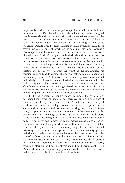is generally coded not only as pathological and rebellious but also as feminine (*D*, 52). Showalter and others have persuasively argued that hysteria should not be unconditionally deemed feminine; but the text and its immediate environment argue for a reading of hysteria as at least feminizing in this context, and in the long shadow of its influence. Despite Freud's early interest in male hysterics, even those essays include significant work on female patients; and hysteria's etymological and historical links to the feminine are well known.<sup>23</sup> Showalter and Toril Moi argue that hysteria should be understood as a reaction of the powerless, not necessarily the female or feminized; but of course in this historical context the woman is the figure who is most conventionally powerless.<sup>24</sup> Similarly, Gilman points out that, while Freud "attempted to free . . . women" from this taint by relocating the site of hysteria from the womb to the imagination, his revision does nothing to combat the notion that the female imagination is peculiarly diseased.<sup>25</sup> Moreover, in *Studies on Hysteria*, Freud shifted definitively to a focus on female hysterics more consonant with the cultural typing of the disease, a focus that he underscores in *Dora*. Thus hysteria remains not only a gendered but a gendering discourse for Freud. He establishes the hysteric's story as not only incoherent and incomplete but also feminized and subordinate.

In the last element of Freud's theoretical model, the hysteric cannot herself transcend the knots of her narrative. In fact, Freud doesn't encourage her to try. He reads the patient's self-analysis as a way of cloaking her resistance, saying, "When the patient brings forward a sound and incontestable train of argument during psychoanalytic treatment, the physician is liable to feel a moment's embarrassment, and the patient may take advantage of it" (*D*, 28). If the mark of the hysteric is the inability to untangle her own narrative, Freud may then stamp both her narrative and himself with the masculinizing signs of scientific discourse, objective, powerful, and authoritative. Once Freud has theorized the hysteric's story as inherently inept, he has made himself necessary. The hysteric thus represents narrative authenticity, private and domestic, while the physician leans on her words to mount the seat of authority, where he edits her narrative for circulation outside the intimate circuit of analysis. In sum, Freud defines the hysterical narrative as an autobiography necessarily troubled or confused in form, requiring interpolation from the physician, and he theorizes conflict—in *Dora* made clear as a specifically gendered conflict—as both necessary and generative of the final narrative of analysis.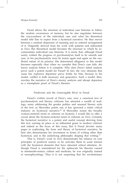Freud allows the structure of individual case histories to follow the random occurrences of memory, but he also negotiates between the waywardness of the individual case and what his theoretical model tells him to expect from a hysterical narrative. He thus moves between a random dispersion of meaning and an ordered arrangement of it. Originally derived from his work with patients and elaborated in *Dora*, this theoretical model becomes the structure to which he accommodates individual case histories. It is ironic that, although Freud surely wished the progress of psychoanalysis itself to be smooth and sure, in his psychoanalytic texts he insists again and again on the conflicted nature of its practice. His determined allegiance to this model becomes especially clear when we consider that Dora's case fails: she leaves analysis before it is complete. Why does Dora's failed analysis prove such a potent model for Freud? In fact, the very elements that cause her explosive departure prove fertile for him, because in his model, conflict is both necessary and generative. Such a model, then, rewrites the narrative of Dora's stormy analysis and abrupt departure as a triumphant proof of Freud's theories.

#### Positivism and the Unnavigable River in Freud

Freud's written record of Dora's case, now a canonical text of psychoanalysis and literary criticism, has attracted a wealth of readings, many addressing the gender politics and unusual literary style of the text; as Showalter points out, it has spawned a entire critical industry on hysterical narrative.<sup>26</sup> If Showalter resists the broadly woman-centered trend of criticism on hysteria, I would like to offer a caveat about the hysteria-centered trend of criticism on *Dora*. Certainly the hysterical narrative is a potent and useful concept deriving from this text, earning its place as an influential genre in modern criticism and indeed as the focus of this essay. But if Freud devotes many pages to explicating the form and theory of hysterical narrative, he here also demonstrates his investment in forms of writing other than hysterical, and in the underlying philosophy shaping that writing. $27$ 

That is, Freud's work in *Dora* demonstrates his reliance on core principles of positivist science as he activates them in acute tension with the hysterical elements that have attracted critical attention. Although Freud is remembered for the upheavals his theories caused in nineteenth-century culture and medicine, he was originally trained in neurophysiology. Thus it is not surprising that his revolutionary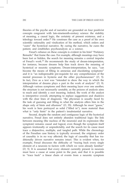theories of the psyche and of narrative are grounded on four positivist concepts congruent with late-nineteenth-century science: the stability of meaning, a causal logic, the certainty of present existence, and a teleology toward order.<sup>28</sup> He construes the case as a proof of his own scientific rationality and vindication of his method, which orders and "cures" the hysterical narrative. By curing the narrative, he cures the patient, and establishes psychoanalysis as a science.

Freud's reliance on these concepts is evident in his brief "Prefatory Remarks" that frame the case. For example, although meanings may have been lost or hidden, the search for meaning remains a central impulse of Freud's work.<sup>29</sup> He recommends the study of dream-interpretation, for instance, because dreams help him track down the meaning of hysterical or neurotic symptoms. Dream-interpretation, he says, "can become the means of filling in amnesias and elucidating symptoms" and it is "an indispensable pre-requisite for any comprehension of the mental processes in hysteria and the other psychoneuroses" (*D*, 5). In fact, *Dora* as a text was "intended to show the way in which the interpretation of dreams plays a part in the work of analysis" (*D*, 9). Although various symptoms and their meaning layer over one another, the structure is not necessarily unstable, as the process of analysis aims to reach and identify a root meaning. Indeed, the work of the analyst is interpretive overall, attempting to replace suggestions and shadows with the clear lines of diagnosis; "the physician is usually faced by the task of guessing and filling in what the analysis offers him in the shape only of hints and allusions" (*D*, 35). Although he must "guess," his work is here portrayed as solid ("filled in"), more material than what is "only hints" in the patient's insubstantial narrative.

Second, despite the random and contiguous logic of the hysterical narrative, Freud does not entirely abandon traditional logic: the link between meaning (the nucleus of the neurosis) and its expression (the symptom) remains causal and logical, even though the symptom itself appears irrationally or unpredictably, and the search for its cause must trace a disjunctive, multiple, and tangled path. While the chronology of the Freudian case history is typically reversed, the originary order of causality is in no way affected; the logic of causality that has traditionally driven narrative remains intact. This is evident when, for example, Freud discusses the difficulty of "tracing back every single element of a neurosis to factors with which we were already familiar" (*D*, 5). It is assumed that every element currently present in neurosis must have a cause at some point in the past, and that it is possible to "trace back" a linear chain of events from a neurotic symptom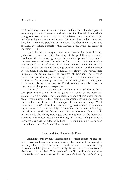to its originary cause in some trauma. In fact, the ostensible goal of each analysis is to unweave and reweave the hysterical narrative's contiguous logic into a sound narrative based on a traditional logic and chronology of cause and effect. This is evident in his conviction that, had Dora only persisted in analysis, "we should no doubt have obtained the fullest possible enlightenment upon every particular of the case" (*D*, 6).

Third, Freud's technique frames and contains the disruptive impulses of memory by telling the story of the past through repeated flashbacks, that is to say, grounded in a stable "present" from which the narrative is backward unreeled in fits and starts. It foregrounds a psychological "point of view," that of the memory, yet is inescapably marked by the potent and knowing editorial control of the narrator in real time. Most frequently, although not always, the rememberer is female; the editor, male. The progress of their joint narrative is marked by his "clearing" and tracing of the river of consciousness to its source. The apparently random, chaotic emergence of this jigsaw of personal history does not, for Freud, suggest any disruption or distortion of the present perspective.

The final logic that remains reliable is that of the analyst's centripetal impulse, his desire to get to the center of the hysterical patient, often a woman. The teleological dynamic of this quest-for-thesecret while plumbing the feminine unconscious reveals the drive of the Freudian case history to be analogous to his famous query, "What do women want?" These four positivist logics—the stability of meaning, a causal logic, the certainty of present existence, and a teleology toward order—undergird his account of Dora's narrative. They provide an anchor to the shifts, blockages, and ambiguities of the hysterical narrative and reveal Freud's continuing, if strained, allegiance to a narrative structure at odds with hers. It is thus not only Dora who resists Freud but Dora's narrative as well.

# Freud and the Unnavigable River

Alongside this evident valorization of logical argument and objective writing, Freud the prosaic indulges his penchant for figurative language. He adopts a memorable simile to seal our understanding of psychoanalytic practice as necessarily difficult and its narratives as obstructed and unclear. This gendered conflict in Freud's narrative of hysteria, and its expression in the patient's formally troubled text,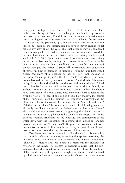emerges in his figure of an "unnavigable river." In order to explain, in his case history of Dora, the challenging, involuted progress of a psychoanalytic treatment, Freud likens the hysteric's occulted memories to a clogged, tortuous river. He remarks, "I begin the treatment . . . by asking the patient to give me the whole story of his life and illness, but even so the information I receive is never enough to let me see my way about the case. This first account may be compared to an unnavigable river whose stream is at one moment choked by masses of rock and at another divided and lost among shallows and sandbanks" (*D*, 10).<sup>30</sup> Freud is the hero of hopeless causes here, taking on an impossible task by setting out to trace his way along what he tells us is an "unnavigable" river.<sup>31</sup> He cannot get his bearings and cannot navigate the current ("Strom").<sup>32</sup> Interestingly, the suggestion of powerful flow is common in usages of "Strom," but here Freud clearly complains of a blockage or lack of flow: "not enough" to be useful ("nicht genügend"), the bed ("Bett") of which is at some points blocked across by masses of rocks ("bald durch Felsmassen verlegt"), at others divided by sandbanks and made shallow ("bald durch Sandbänke zerteilt und untief gemachet wird"). Although, as Mahony reminds us, Strachey translates "stream" when he should have "streambed," 33 Freud clearly uses metonymy here to refer to the river by way of its bed: if the bed is blocked or shallow, the course of the water itself must be likewise. His emphasis on current and the obstacles to forward movement, contrasted to the "smooth and exact" ("glatten und exakten") histories he envies in the following sentence, all imply the linear nature of his desired motion. The term "Strom" also could describe a river estuary, suggesting that Freud wishes to navigate to the open sea; however, he seems to be trapped in a more enclosed location, frustrated by the blockage and confinement of the water flow, with the suggestion of looming cliffs alongside (another possible meaning of "Felsmassen"). Despite the occasional sideways (associative) movements that may be necessary at present, his ultimate task is to press forward along the course of this stream.

Overdetermined as is so much in Freud's work, this metaphor has multiple referents or tenors, including the spoken narrative, the hysteric's mind, and Freud's own narrative. The patient's account is "choked . . . divided and lost" because it represents the blockages of hysteria in the mind. The process of analysis requires that the spoken narrative, developed by association, should follow the contours of the mind; thus if the patient's thoughts are shunted and hindered by blockages and countercurrents, the patient's account of conscious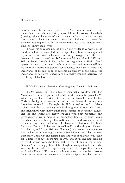ness becomes also an unnavigable river. And because Freud tells us many times that his case history must follow the course of analysis (clearing) along the route of the patient's broken narrative, his case history must inhabit the same currents and blockages that mark the patient's account; that is, his narrative must also trace, at least for a time, an unnavigable river.

Freud was of course not the first or only writer to conceive of the mind as a kind of river. Indeed, George Henry Lewes, an important figure in the Victorian prehistory of neuropsychology, coined the term "stream of consciousness" in his *Problems of Life and Mind* in 1879, and William James brought it into wider use beginning in 1884.<sup>34</sup> Freud speaks of mental "currents" both in this case and elsewhere,<sup>35</sup> but his river is a figure not just for consciousness but also its story. The importance of Freud's trope of currents blocked by debris signals the importance of narrative—specifically, a formally troubled narrative—to his theory of hysteria.

## H.D.'s Hysterical Narrative: Canoeing the Unnavigable River

H.D.'s *Tribute to Freud* offers a remarkable window into this Modernist writer's response to Freud's work, especially given H.D.'s wide range of life experience to draw upon. From her middle-class Christian background growing up in the late nineteenth century in a Moravian household in Pennsylvania, H.D. moved on to Bryn Mawr College and then to lifelong travels throughout Europe and Greece and friendships with many other major figures of Modernist culture. Her life and works are deeply engaged with both Modernist and psychoanalytic work. Named an exemplary Imagist by Ezra Pound (to whom she was briefly affianced), she lived and worked in a set of intersecting circles including D.H. Lawrence, Havelock Ellis, Mary Butts, and Dorothy Richardson, as well as Richard Aldington, Kenneth Macpherson, and Bryher (Winifred Ellerman), who were at various times part of her circle. Fighting a series of breakdowns, H.D. had worked with Mary Chadwick and Hanns Sachs and was in analysis with Freud for a total of about six months in 1933 and 1934. She had read up in Freud, whose work she knew both in English and in the original German, $36$  at the suggestion of her longtime companion Bryher, who was deeply interested in psychoanalysis, and in preparation for her work with Freud. H.D.'s letters to Bryher show that she had become fluent in the terms and concepts of psychoanalysis, and that she was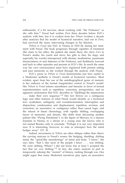enthusiastic, if a bit nervous, about working with "the Professor," as she calls him.<sup>37</sup> Freud had written *Dora* three decades before H.D.'s analysis with him, but it is evident from her *Tribute* (written a decade after analysis) that his model of hysterical narrative, laid out in *Dora*, had survived the many intervening changes in his theories.

*Tribute to Freud* sets H.D. in Vienna in 1933–34, during her treatment with Freud. The book progresses through vignettes of treatment (the stairs to his office, the patient she meets there, the *objets d'art* in Freud's studio, his couch and stove, her gifts to him, his dogs, and especially his words) interspersed with dreamy meditations, passionate denunciations of and defenses of the Professor, and flashbacks forward and back to other episodes and persons in H.D.'s life. In much the same way her own consciousness must have registered both present setting and past memories as she worked through the analysis with Freud.

H.D.'s prose in *Tribute to Freud* demonstrates just how useful to a Modernist aesthetic is Freud's model of hysterical narrative. Most evident, apart from her use of the autobiographical genre of memoir, is her embrace of the formal irregularities central to Freud's model. Her *Tribute to Freud* refuses smoothness and linearity in favor of formal experimentation such as repetition, correction, juxtaposition, and an apparent randomness that H.D. describes as "[l]et[ting] the impressions . . . make their own sequence."<sup>38</sup> Her text thrives on a contiguous logic and other features of what Freud would identify as a hysterical text: symbolism, ambiguity, and overdetermination; interruption and disjunction; condensation and displacement; repetition, revision, and correction; an associative or contiguous rather than causal logic; and the refusal of linear chronology, with rapidly shifting, overlapping layers of memories and dreams. She drifts from discussing another patient (the "Flying Dutchman"), to the figure of Mercury, to a famous fountain in Vienna, to a dream of a young man she knows who is not named Brooks; only to conclude, "Perhaps it is not very important now. It is interesting, however, to note in retrospect how the mind hedges away" (*TF*, 8).

Indeed, movements in *Tribute* are often oblique rather than direct: the curving staircase to Freud's rooms; the hedging, shuttling, drifting mind; the "spiral-like meanderings" of mind and body. "I knew," she says later, "that I, like most of the people I knew . . . was drifting. We were drifting. Where? I did not know but at least I accepted the fact that we *were* drifting."<sup>39</sup> In fact, she enters analysis in part to temporarily sidestep the "current" of history, rushing through war. One might argue that many Modernist narratives play upon an associative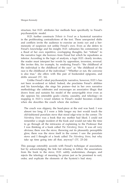structure, but H.D. attributes her methods here specifically to Freud's psychoanalytic model.

H.D. further constructs *Tribute to Freud* as a hysterical narrative in the proliferating contradictions of the text. These unexpected shifts and conflicts invite the audience to exercise an ironic eye and a hermeneutic of suspicion not unlike Freud's own. Even as she defers to Freud's knowledge and his insight, H.D. subsumes his commentary in a flood of her own repetitive, overlapping thoughts, her "tribute" to the narrative logic she borrows from Freud but which he repudiates as inferior. According to the logic of analysis, a logic H.D. clearly invokes, the reader must interpret her words by opposition, inversion, reversal. She invites this, for example, by rendering Freud's "the childhood of the individual is the childhood of the race" as "the childhood of the race is the childhood of the individual." "Whether or not, the converse is also true," she offers with this pair of bookended epigrams, and drifts onward (*TF*, 16).

Unlike Freud's ideal psychoanalytic narrative, however, H.D.'s has not been re-ordered or tidied. Indeed, she proclaims Freud's abilities and his knowledge, she sings his praises—but in her own narrative methodology she celebrates and encourages an associative illogic that draws from and sustains his model of the unnavigable river even as she opposes his ostensible goals—clarity, causality, and teleology—in mapping it. H.D.'s vexed relation to Freud's model becomes evident when she describes the couch where she reclines:

The couch was slippery, the head-piece at the end was hard. I was almost too long; if I were a little longer my feet would touch the old-fashioned porcelain stove that stood edge-wise in the corner. *The Nürnberg Stove* was a book that my mother had liked. I could not remember a single incident of the book and would not take the time to go through all the intricacies of explaining to the Professor that I was thinking of a book called *The Nürnberg Stove*. It was all very obvious; there was the stove, throwing out its pleasantly perceptible glow, there was the stove itself in the corner. I saw the porcelain stove and I thought of a book called *The Nürnberg Stove*, but why take up time going into all that, anyway? (*TF*, 23–24)

This passage ostensibly accords with Freud's technique of association, but by acknowledging the link but refusing to follow the associations from the book to the stove, H.D. subtly undermines, changes, and rejects the teleology of meaning he prizes just as he promised to sort, order, and explicate the elements of the hysteric's bad story.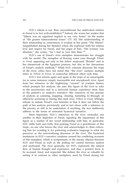H.D.'s tribute is not, then, unconditional; her ambivalent relation to Freud is in fact well-established.<sup>40</sup> Indeed, she warns her readers that "[t]here was an argument implicit in our very bones" on the matter of "the greater transcendental issues" (*TF*, 16). Her understanding of their relationship as contestatory is evident in her poem "The Master" (unpublished during her lifetime) where she expresses both her intense love and respect for Freud, and her anger at him. "His tyranny was absolute," she writes, "for I had to love him then."<sup>41</sup>

H.D.'s use of Freud's river metaphor demonstrates her struggle with his model. The metaphor of flowing water runs through *Tribute to Freud*, appearing not only in her fellow analysand "Brooks" and in her dreamwork of the Egyptian princess, but also in her discussions of Freud's analytic methods.<sup>42</sup> While H.D. criticism discusses the trope of the river, critics have not noted that "the river" surfaces multiple times in *Tribute to Freud*, to somewhat different effect each time.

H.D.'s text returns again and again to the trope of an unnavigable (or in some instances simply inaccessible and unexplored) river. Apart from her reference to the frightening "current" of wartime history which prompts her analysis, she uses this figure of the river to refer to the unconscious and to a universal human experience more than to the patient's or analyst's narrative. She conceives of her journey of analysis as canoeing, mapping, clearing, tunneling to/through, or otherwise accessing or freeing that dark river. *Tribute to Freud*, tellingly, refuses to imitate Freud's case histories in that it does not follow the path of her analysis persistently and in fact closes with a reference to the journey as still to be undertaken; if anything, the text stubbornly adheres to the forms of untreated hysterical narrative.

Most important, H.D.'s references to the river contradict one another in their depiction of Freud, signaling the importance of this figure as a marker of her vexed relationship with him. In particular, H.D. shifts back and forth, first praising Freud as a practitioner of this trope—as one who knows the river and acknowledges it—then criticizing him for avoiding it, for preferring evaluative language to what she perceives as the universalizing discourse of the river. The hysterical tendencies in H.D.'s narrative condense around her conflicting accounts of this metaphor, which is symptomatic of the uneasy alliance between H.D. and Freud as well as the jostling for control between analyst and analysand. The river generally, for H.D., represents the natural flow of human thought and experience, and thus a positive force to be accessed, freed, and respected. She defines the river as valuable by setting it in contrast to other metaphors used by Freud during her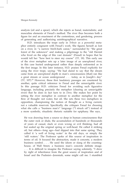analysis (oil and a spear), which she rejects as banal, materialistic, and masculine elements of Freud's method. The river thus becomes both a figure for and an enactment of the contentious, and gendering, process

of generating and authorizing autobiographical narrative. H.D. introduces the trope early in *Tribute* as a powerful metaphor entirely congruent with Freud's work. She figures herself as lost on a river, in "a narrow birch-bark canoe," surrounded by "the great forest of the unknown" and making a pilgrimage to the "old Hermit who lived on the edge of this vast domain" (Freud) in hopes that he would tell her "how best to steer my course" (*TF*, 18). This early use of the river metaphor sets up a later image of an unexplored river, in this case buried underground rather than deeply enforested as in the first image. In this later instance, H.D. praises Freud explicitly for using the river trope, saying: "He had dared to say that the dream came from an unexplored depth in man's consciousness [that] ran like a great stream or ocean underground . . . today, as in Joseph's day" (*TF*, 107).<sup>43</sup> However, these first laudatory passages are countered by another, quite critical reference to Freud and the unnavigable river. In this passage H.D. criticizes Freud for avoiding such figurative language, including precisely the metaphor (clearing an unnavigable river) that he does in fact turn to in *Dora*. She makes her point by setting the river metaphor in contrast to another metaphor for the flow of thought: not water, but oil. She sets these two metaphors in opposition, championing the notion of thought as a living current, not a valuable reservoir. Specifically, she critiques Freud for choosing what she calls a "business man's" language ("I struck oil") instead of a more symbolic, ritualistic rhetoric suitable for epiphany. She says,

He was drawing from a source so deep in human consciousness that the outer rock or shale, the accumulation of hundreds or thousands of years of casual, slack or even wrong or evil thinking, had all but sealed up the original spring or well-head. He called it striking oil, but others—long ago—had dipped into that same spring. They called it 'a well of living water' in the old days, or simply the 'still waters.' The Professor spoke of this source of inspiration in terms of oil. It focused the abstraction, made it concrete, a modern business symbol. . . . He used the idiom or slang of the countinghouse, of Wall Street, a business man's concrete definite image. . . . It is difficult to imagine the Professor saying solemnly, "I drew by right of inheritance from the great source of inspiration and of Israel and the Psalmist—Jeremiah, some might call me. I stumbled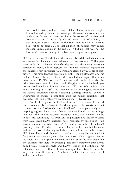on a well of living water, the river of life. It ran muddy or bright. It was blocked by fallen logs, some petrified—and an accumulation of decaying leaves and branches. I saw the course of the river and how it ran, and I, personally, cleared away a bit of rubbish, so that at least a small section of the river may run clear. There is a lot yet to be done . . . so that all men, all nations, may gather together, understanding in the end . . . .' But no, that was not the Professor's way of talking. (*TF*, 125; final ellipsis in original)

H.D. here chastises Freud. She criticizes not his insight, which she sees as timeless, but his style: twentieth-century "business man."<sup>44</sup> This passage implicitly challenges what she depicts as a distancing, assessing strategy in Freud, which opposes the intimate, material engagement she imagines him invoking: "I, personally, cleared away a bit of rubbish."<sup>45</sup> This simultaneous assertion of both Freud's closeness and his distance threads through H.D.'s text. Sarah Jackson argues that when Freud tells H.D. "Do not touch" (his dog Yofi) on her first visit, he "simultaneously prohibit[s] touch, and offer[s] a certain tactile healing do not hold me back. Freud's words to H.D. are both an invitation and a warning" (*TF*, 189). The language of the unnavigable river and the actions associated with it—exploring, clearing, running—evokes a willingness to engage, a grappling with the human condition, that precludes the cold evaluative judgments that H.D. critiques.

True to the logic of the hysterical narrative, however, H.D.'s text cannot sustain this challenge to Freud's judgment. She asserts here that it "was not the Professor's way of talking" to compare analysis to mapping a great clotted river; that is, she says Freud did not indulge in exactly the kind of resonant metaphor and grand rhetoric that he in fact did continually fall back on, in passages like the river scene from *Dora*. Even H.D.'s language here ("blocked by falled logs," "an accumulation of decaying leaves," "cleared away a bit of rubbish") precisely echoes Freud's references to the streambed blocked by rocks and to the task of clearing rubbish or debris from its path. In fact, H.D. knew Freud and his work too well not to recognize his penchant for precise, yet sweeping, metaphor of this sort. Only pages earlier, as we know, H.D. had applauded Freud for his use of the very trope that she criticizes him here for avoiding. The river metaphor thus drives both Freud's figurative style and H.D.'s revision and critique of his ostensibly "objective" (that is to say, non-figurative) style. It enacts the very confusion—the narrative "rubbish"—that it describes and that it seeks to eradicate.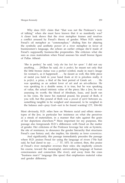Why does H.D. claim that "that was not the Professor's way of talking" when she must have known that it so manifestly was? A closer look shows that the river metaphor frames and resolves a conflict aroused by Freud's theory of gender. When H.D. rejects Freud's oil metaphor as "commonplace," chiding him for abjuring the symbolic and aesthetic power of a river metaphor in favor of businessmen's language, she echoes an earlier critique she'd made of Freud's supposedly business-like propensities. She criticizes what she sees as crass materialism when Freud assesses his small bronze figure of Pallas Athené:

'She is perfect,' he said, '*only she has lost her spear*.' I did not say anything. . . .[W]hen he said, *she is perfect*, he meant not only that the little bronze statue was a perfect symbol, made in man's image (in woman's, as it happened) . . . he meant as well, this little piece of metal you hold in your hand (look at it) is priceless really, it is *perfect*, a prize, a find of the best period of Greek art. . . . He was speaking as an ardent lover of art and an art-collector. He was speaking in a double sense, it is true, but he was speaking of value, the actual intrinsic value of the piece; like a Jew, he was assessing its worth; the blood of Abraham, Isaac, and Jacob ran in his veins. He knew his material pound, his pound of flesh, if you will, but this pound of flesh was a *pound of spirit* between us, something tangible to be weighed and measured, to be weighed in the balance and—pray God—not to be found wanting! (*TF*, 104–06)

Most obviously, H.D. relies here on Western racial and ethnic stereotypes of the Jew, in particular her insistence on what she perceives as a streak of materialism, in a manner that rubs against the grain of her depictions elsewhere.<sup>46</sup> More important for my purposes, this passage also foregrounds H.D.'s differences with Freud on the matter of gender. Her criticisms of the Professor leverage her role as hysteric, the site of resistance, to denounce the gender hierarchy that structures Freud's case history and, she implies, his identity as *homo economicus*.

And significantly, this passage immediately precedes the passage where H.D. praises Freud for using the language of rivers ("He had said, he had dared to say  $\ldots$ ," *TF*, 107). In context, then, this praise of Freud's river metaphor reverses their roles: she implicitly corrects his course, toward the meaningful, universalizing language of human consciousness and connection (the river), and away from the crass "business man's" language (the spear) that emphasizes material value and gender difference.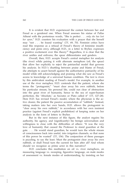It is evident that H.D. experienced the contest between her and Freud as a gendered one. When Freud assesses his statue of Pallas Athené with the portentous words, "She is perfect . . . *only she has lost her spear*," H.D. counters his evaluation with a prayer that she herself may "not . . . be found wanting" (*TF*, 69, 70). Feminist critics have read this response as a refusal of Freud's theory of feminine insufficiency and penis envy, although H.D., in a letter to Bryher, expresses a positive excitement over this theory.<sup>47</sup> Regardless, it is clear that the river unifies and enlivens; the spear differentiates and genders.

Overall, then, H.D. accepts Freud's central metaphor for analysis (the river) while pairing it with alternate metaphors (oil, the spear) that allow her explicitly to reject the patriarchal model that governs his analysis. In H.D.'s shuttling between praise and blame of Freud, she attempts to assert herself against the authoritative patriarchy of his model while still acknowledging and praising what she saw as Freud's access to knowledge of a universal human condition. The text is riven by this ambivalent reading of Freud's model. For example, in another use of the river metaphor, H.D. contends that the patient, whom she terms the "protagonist," "must clear away his own rubbish, before his particular stream, his personal life, could run clear of obstruction into the great river of humanity, hence to the sea of super-human perfection, the 'Absolute,' as Socrates or Plato called it" (*TF*, 127–28). Here H.D. has revised Freud's model, where the physician is the active clearer, the patient the passive accumulation of "rubbish." Instead, taking matters into her own hands, H.D. allows the protagonist to "clear away his own rubbish," in accordance with her own insistent practice (against Freud's explicit prohibition) of keeping notes on her analysis in the form of letters to Bryher.

But in the next instance of this figure, the analyst regains his authority, his agency, and (significantly) his benign universalism and willingness to close with the difficulties of others: "It was the very love of humanity that caused the Professor to stand guardian at the gate. . . . He would stand guardian, he would turn the whole stream of consciousness back into useful, into irrigation channels, so that none of this power be wasted" (*TF*, 156). The conjunction of these passages is puzzling, to say the least. Must the protagonist clear away his own rubbish, or shall Freud turn the current for him after all? And whom should we recognize as prime actor in this narrative?

H.D. concludes this meditation on oil vs. river metaphors, on measuring language vs. sweeping, figurative language, on male modes of assessment vs. female modes of understanding, by insisting on her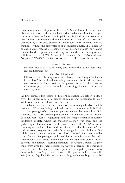own more exalted metaphor of the river. *Tribute to Freud* offers one final, oblique reference to the unnavigable river, which evokes the danger, the mutual love, and the hope implicit in this jointly undertaken journey. In fact, this reference dominates the last pages of the book; and significantly, it for once signals an unequivocal faith in Freud and his methods without the ambivalence of a counterexample. H.D. offers an extended close reading of Goethe's lyric, "Mignon's Song" or "Kennst du das Land," a poem she had sung as a child, which she quotes in full from his novel *Wilhelm Meister's Apprenticeship* (*Wilhelm Meisters Lehriahre*, 1795–96).<sup>48</sup> "In the last verse  $\ldots$ ." H.D. says, is the line,

#### *Es stürzt der Fels*,

the rock breaks or falls in ruins, and indeed this is our very present predicament; but

#### *und über ihn die Flut*

following, gives the impression of a living river; though 'and over it the flood' is the literal rendering. Ruins and the flood, but there remains our particular Ark or Barque—a canoe, I called it—that may, even yet, carry us through the seething channels to safe harbor. (*TF*, 162)

At first glimpse this seems a different metaphor altogether: a flood over the ruined rock of a craggy cliff, and the navigation through whitewater or even cataract to calm water.

Given, however, the importance of the unnavigable river in this text and H.D.'s wandering birchbark canoe at its opening, it is likely that this passage offers another perspective on that metaphor. H.D. identifies "our very present predicament" as analogous to the broken or fallen rock "ruins," suggesting both the craggy, romantic mountain landscape of Italy, where the character Mignon was born, and the girl's fragmented memories of her native land. The "Fels" or rocks tumbling in Goethe's flood find an echo in Freud's "Felsmassen," the rock masses clogging the patient's unnavigable river. Similarly, *Flut* might mean "stream" as much as "flood." Indeed, the river familiar to us from earlier passages might well be impassable due to the rocky impediments that create whitewater and its attendant swirls, undercurrents, and narrow "seething channels." In Goethe's poem, Mignon must cross over the raging torrent by way of a perilous, fog-shrouded bridge, while H.D. clearly envisions paddling the rapids by canoe—now "our" rather than "my" canoe. However, the goal for both is a smooth, safe journey. Significantly, in the novel, Mignon's song is preceded by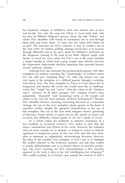her hysterical collapse in Wilhelm's arms and mutual cries of love and loyalty. Not only the song but *Tribute to Freud* itself ends with the plea for Wilhelm (Mignon's rescuer, whom she calls "Father," and whom H.D. identifies with Freud) to accompany her to and through those dark and misty lands: "O Vater, lass uns ziehn! [Oh Father, let us go!]" The relevance for H.D.'s analysis is clear in Goethe's use of the verb *ziehen* for motion, pulling, passage (*durchziehen* is to traverse through difficulty) and in the girl's desire for Wilhelm's protection on the dangerous crossing to the land of her birth. Mignon might wish merely to travel her river safely, but H.D.'s use of the poem sketches a deeper kinship in which both young women must identify and face the fragmented, deep-seated obstacles impeding their personal journey toward authentic identity.

Although H.D. also associates the psychoanalytic journey with other metaphors for motion—traveling the "cloud-bridge" of Goethe's poem (*TF*, 164, 168) and "tunneling deep" (*TF*, 168)—she returns over and over again to the metaphor of a difficult journey through a winding, rock-strewn river. The river metaphor in *Tribute to Freud* allows her to foreground and dismiss the words she would most like to challenge, words that "weigh" her and "assess" what she values in the "business man's" currency. In all these passages, H.D. critiques Freud's more judgmental, "measured" (and measuring) terms as she accepts and claims as her own his most resonant, mythical formulations.<sup>49</sup> Because H.D. identifies divisive, assessing, measuring discourse as a masculine strategy, her use of the river metaphor places gender at the heart of narrative conflict, despite the apparent contradictions in her use of this metaphor. Her use of the river both mitigates Freud's gendering of discourse (Freud speaks of spears but he also speaks of rivers) and re-enacts that difference (Freud speaks of oil; but I speak of rivers).

To a certain extent, it's foolhardy to demand consistency of a text modeled on hysterical narrative. H.D. makes it clear that she enjoys contradiction and friction in her work. However, the turbulent areas do serve usefully (as in analysis, or indeed in rivers) to indicate significant or dangerous points. In this case, H.D. uses the river metaphor to represent an ungendered, universalizing discourse; however, the effect of the troubled river metaphor in H.D.'s text is to highlight the conflict inherent to the hysterical narrative and link that conflict to gender differentiation, just as in Freud's theory of narrative production. The river's meaning, for H.D. (universalizing), is thus precisely opposed to the work it does in her text (challenging and critiquing). $50$ This conflict extends, as in Freud's case, outside the analysis to H.D.'s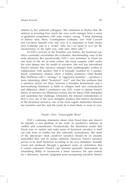relation to her authorial colleagues. She comments to Bryher that the analysis is revealing how much her own work emerges from a sense of gendered competition with male writers, saying, "I keep dreaming of literary men, Shaw, Cunninghame Grahame, now Noel Coward and Lawrence himself, over and over. It is important as book means *penis* evidently and as a 'writer,' only, am I an equal in uc-n [in the unconscious], in the right way, with men. Most odd."<sup>51</sup>

In H.D.'s revision of the Freudian case history, the hysterical narrative eventually overwhelms the evaluative, discriminating voice of the male physician. But paradoxically, H.D.'s very resistance to Freud (as one more of the set of male writers she must compete with) writes her even deeper into his model of narrative. Her text has internalized Freud's lessons: that narrative emerges from autobiography written in collaboration with another; that it is formally troubled by a genderbased, contestatory relation where a hidden resistance—what Rachel Blau DuPlessis calls a "strategy" of "aggressive humility" —produces a more interesting, albeit "hysterical," text;<sup>52</sup> and that the synthesis that a narrative strives for (here, between a Freudian hermeneutic and a universalizing feminism) is liable to collapse back into contradiction and difference, albeit a productive one. H.D. wants to update Freud's theory of narrative for Modernist women, but his theory both anticipates and assimilates her challenge. Ultimately, the internal contradictions in H.D.'s own use of the river metaphor produce that frictive dynamism of the hysterical narrative, one of the more cogent similarities between her narrative and his, and the mode he is least likely to want to own.

## Freud's Own "Unnavigable River"

H.D.'s confusing statements about what Freud does and doesn't do identify a core attribute of his work: its productive embrace of conflict and contradiction. Paradoxically, the theoretical model that Freud uses to contain and make sense of hysterical narrative is itself not only born of conflict but also internally contradictory. The mark of the physician's final, positivist narrative should be its smooth, untroubled flow and its certain authority. However, Freud's narrative proves to be itself hysterical according to his own definition: formally vexed and produced through a gendered series of contentions that it cannot transcend. Freud's case histories generally demonstrate an astonishing ability to circumvent a linear narrative. He opts instead for a discursive, layered, tangential prose juxtaposing anecdote, history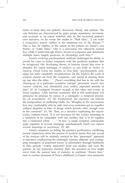(often of more than one patient), discussion, theory, and polemic. His case histories are characterized by gaps, jumps, repetitions, reversions, and revisions to an extent matched only by the hysterical patient's own narrative. As he warns the reader in "Wolf Man," "I can write a consecutive history neither of the treatment nor of the disease."<sup>53</sup> This is due, he implies, to the nature of the patient; for Freud's case history of "Little Hans," who is a precocious but otherwise normal boy, while it works through Hans's record of symptoms and statements multiple times, largely preserves its chronology each time.<sup>54</sup>

Freud's evolving psychoanalytic methods challenged his ability to record his cases in forms congruent with the positivist tradition that he recognized. His developing theory of hysteria forced him even to abandon his initial technique of analysis as put forth in *Studies on Hysteria*. Freud warns his readers in *Dora* that: "psychoanalytic technique has been completely revolutionized. [In the *Studien*] the work of analysis started out from the symptoms, and aimed at clearing them up one after the other. . . . [Now] everything that has to do with the clearing-up of a particular symptom emerges piecemeal, woven into various contexts, and distributed over widely separated periods of time" (*D*, 6). Contiguity becomes enough to link ideas and events; as Freud explains, "[A]n internal connection that is still undisclosed will announce its presence by means of a contiguity—a temporal proximity—of associations" (*D*, 32). Furthermore, his narrative can tolerate the juxtaposition of conflicting truths, for "thoughts in the unconscious live very comfortably side by side, and even contraries get on together without disputes—a state of things which persists often enough even in the conscious" (*D*, 54). Thus, in a narrative explicating the unconscious, explains Freud, "it is not necessary for the various meanings of a symptom to be compatible with one another, that is to fit together into a connected whole . . . ." In fact, "a single symptom corresponds quite regularly to several meanings simultaneously [and] can express several meanings in succession" (*D*, 46).

Freud's emphasis on letting the patient's proliferative, conflicting mental connections drive the process of analysis means that any record of his analysis will be similarly marked by this "piecemeal" approach to narrative, emphasizing the seemingly random, diffused, and overlapping emergence of important pieces of information through flashbacks to time periods "widely separated" from one another and from the present. At any particular moment, then, the narrative of *Dora* might move from the present time of analysis, to nonlinear "dream time," back to various moments of Dora's childhood, to Freud's own memories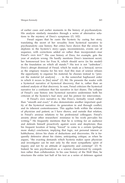of earlier cases and earlier moments in the history of psychoanalysis. His analysis similarly meanders through a series of alternative solutions to the mystery of Dora's symptoms (*D*, 102).

Freud argues that he cures the hysteric by curing her story, translating the secret of her sexuality from hysterical narrative to psychoanalytic case history. But critics have shown that the errors he deplores in the hysteric's story—gaps, inconsistencies, events out of sequence, with corrections added on rather than incorporated—mar Freud's own text.<sup>55</sup> His case history of Dora, for example, gets the year of analysis wrong. He hardly mentions Dora's innermost secret, her homosexual love for Frau K, which should serve (in his model) as the foundation on which all stands.<sup>56</sup> His text is not "unbroken"; Dora's abrupt dismissal of Freud, which he reads as a betrayal, serves as the originary trauma for his text. And this man of science refuses the opportunity to organize his material; he chooses instead to "present the material [of analysis] . . . in the somewhat haphazard order in which it recurs to [his] mind" (*D*, 86). He presents the reader with a hysterical narrative of hysterical discovery, that is, rather than an ordered analysis of that discovery. In sum, Freud criticizes the hysterical narrative for a confusion that his narrative in fact shares. The collapse of Freud's case history into hysterical narrative undermines both his criticism of the hysteric's bad story and his pretext for intervention.

If Freud's own narrative is, like Dora's, formally vexed rather than "smooth and exact," it also demonstrates another important quality of the hysterical narrative: its generation in and through conflict, and its inherent contentiousness. This applies both within the relation of physician and patient, as I have shown, and outside that relation, in Freud's anxious relations to his professional colleagues. Freud's anxiety about other researchers' resistance to his work pervades his writing.<sup>57</sup> He frequently mentions that he is writing for an audience and defends himself proactively against scorn and skepticism; thus his frequent locution of being "forced" to come to a certain (perhaps more shaky) conclusion, implying that logic, not personal interest or hobbyhorse, drives his chain of deductions and discoveries. He is frequently defensive about his claims, anticipating critique, as when he argues, "the exacting demands which hysteria makes upon physician and investigator can be met only by the most sympathetic spirit of inquiry and not by an attitude of superiority and contempt" (*D*, 9). Indeed, he sees psychoanalysis as a science characterized by competition rather than collaboration. In his case history of the Wolf Man, he structures the entire last half of his text as a series of defenses against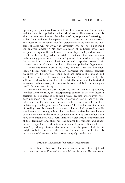opposing interpretations, those which resist the idea of infantile sexuality and the parents' copulation in the primal scene. He characterizes this alternate interpretation as "the scheme of my opponents," referring to Adler, Jung, and the like repeatedly as "opponents" or "adversaries." For instance, he imagines that his experienced evaluation of the outcome of cases will not sway "an adversary who has not experienced the analysis himself."<sup>58</sup> No easy allocation of authorial power can adequately explain the imbricated relationships that produce narrative in such a setting. What is certain is that narrative here becomes both healing procedure and contested ground, in a tension far beyond the convention of clinical physicians' trained skepticism toward their patients' reports of illness, or their colleagues' published hypotheses.

Most important, *Dora* is the story of both Dora and her interlocutor Freud, neither of whom can transcend the internal conflicts produced by the analysis. Freud does not discuss the unique and significant charge that occurs when his narrative is driven by the shifting tensions between his rationalist discourse and its hysterical analogue, both necessary to the case history, and both promising an "end" for the case history.

Ultimately, Freud's case history disarms its potential opponents, whether Dora or H.D., by incorporating conflict at its very heart. I certainly do not want to replicate Freud's gesture, where even "no" does not mean "no." But we need to consider how a theory of narrative such as Freud's, which claims conflict as necessary to the text, deflates any challenge as mere "resistance." In Freud's case, the strain of holding two discourses in a relation of hierarchical opposition while simultaneously choreographing their synthesis renders his case history particularly liable to the kind of collapse back into its abject other that I have here chronicled. H.D. works hard to reverse Freud's subordination of the "feminine" and align her text against the "smooth and exact" narrative logic that Freud endorses but cannot produce. She challenges Freud's gendering, divisive discourse even as she pays tribute to his insight as both true and inclusive. But the spark of conflict that his narrative model rouses in her proves uniquely productive.

#### Freudian Modernism/Modernist Freudianism

Steven Marcus has noted the resemblances between this disjointed narrative structure of *Dora* and that of a modernist novel. He comments,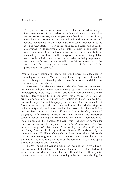The general form of what Freud has written bears certain suggestive resemblances to a modern experimental novel. Its narrative and expository course, for example, is neither linear nor rectilinear; instead its organization is plastic, involuted, and heterogeneous and follows spontaneously an inner logic that seems frequently to be at odds with itself; it often loops back around itself and is multidimensional in its representation of both its material and itself. Its continuous innovations in formal structure seem unavoidably to be dictated by its substance, by the dangerous, audacious, disreputable, and problematical character of the experiences being represented and dealt with, and by the equally scandalous intentions of the author and the outrageous character of the role he has had the presumption to assume.<sup>59</sup>

Despite Freud's rationalist ideals, his text betrays its allegiance to a less logical sequence. Marcus's insight sums up much of what is most troubling and interesting about Freud's unusual model for the psychoanalytic case history.

However, the elements Marcus identifies here as "novelistic" are equally at home in the literary narratives known as memoir and autobiography. Here, too, we find a strong link between Freud's work and his literary context; for if the novel was a central genre in Modernist authors' efforts to explore new frontiers in the written aesthetic, one could argue that autobiography is the mode that the aesthetic of Modernism centrally both rejects and embraces. High Modernist prose techniques typically call into question the possibility of an objective and reliable summation of the self, just as Lytton Strachey redefined biography with *Eminent Victorians*. Yet many texts in the Modernist canon, especially among the experimentalists, rework autobiographical material; besides H.D.'s *Tribute to Freud*, which I discuss here, consider much of the rest of H.D.'s prose, Barnes's *Nightwood*, Ford's *The Good Soldier*, Hemingway's "Nick Adams" stories, Joyce's *Portrait of the Artist as a Young Man*, much of Rhys's fiction, Dorothy Richardson's *Pilgrimage* novels, and Woolf's *To the Lighthouse*. Even those Modernist novels that are not working from personal memory tend to emphasize not the web of social relations as much as the record of a self developing through experience and reflection.

H.D.'s *Tribute to Freud* is notable for focusing on its vexed relation to Freud, but all these texts create their record of the modernist subject in a context where Freud had recently redefined both subjectivity and autobiography. So while autobiography had been shifting for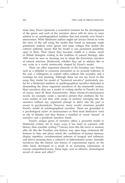some time, Freud represents a watershed moment for the development of the genre; and each of the narrators above tells its story in some relation to an autobiographical tradition that had recently seen Freud's intervention. While Modernist authors might not always choose to write the story of the self using the model that Freud so famously made prominent—indeed, some ignore and some critique that model—his cultural authority means that his model is one prominent possibility open to them. Their choice thus becomes visible *as* a choice, much as British biologists writing in the tradition of natural theology after 1859 must be seen as choosing not to adopt the Darwinian narrative of natural selection. Modernists, whether they opt to address this or not, write in a world irretrievably shaped by Freud's model.

There are other important elements of the Freudian case history, such as a disbelief in conscious perception as an accurate indicator of the real, a willingness to explore taboo subjects like sexuality, and a nostalgia for lost meaning. Although these are not my focus in this essay, they render his model of "hysterical narrative" particularly useful for a Modernist aesthetic of autobiographical narrative dedicated to dismantling the linear organicist narratives of the nineteenth century. Most narratives that use a model of writing similar to Freud's do not, of course, meet all these characteristics. Many stream-of-consciousness novels, for example, create a narrative present that combines the forward motion of real time with scraps of memory emerging into the narrative without any organized attempt to delve into the past as occurs in psychoanalysis. However, many novels' structures parallel Freud's model of autobiographical narrative. These are grounded in a psychological center of consciousness as their most distinctive voice or site of identity, and they feature a troubled or vexed "stream" of narrative and a gendered narrative frame.

Freud's unique genre of narrative offers a powerful model to Modernist writers, for in many ways it has more in common with literary than scientific writing. $60$  Literary texts like the novel or memoir, after all, like the Freudian case history, may span huge contextual differences in time and place; mimic the vacillations of human memory; display repetitive, overdetermined patterns of imagery and influence; and derive meaning from a collective of differentiated scenes. Scientific narratives like the clinical case history or experimental report, on the other hand, developed as a result of an increasing valorization of concise comprehensiveness, linear logic, and an efficient, chronological record of cause and effect.<sup>61</sup>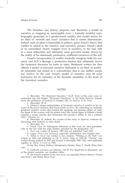The Freudian case history proposes and illustrates a model of narrative as mapping an unnavigable river: a formally troubled autobiography generated in a gender-based conflict, this model strives for an ideal of "smooth and exact" narrative that it cannot demonstrate. Indeed, such an ideal is impossible to achieve, given Freud's theory that conflict is central to the curative, and narrative, process. Freud's ideal of an untroubled, clearly mapped river of narrative, in the end, falls to a more influential, and ultimately more powerful model, driven by the reality of his immensely productive, conflicted narratives of the self.

Freud's incorporation of conflict ironically energizes both his narrative and H.D.'s through a productive friction that ultimately favors the hysterical discourse he seeks to tame. Modernist writers are thus offered a model of personal narrative dedicated to an ideal of positivist rationality but rooted in a contradiction that it can neither escape nor resolve. In the end, Freud's model of narrative may be most instructive for its reminder of the dynamic instability at the heart of the hysterical narrative.

#### **NOTES**

1. Showalter, "On Hysterical Narrative," 24–25. Parts of this essay were incorporated into the chapter "Hysterical Narratives" in her book *Hystories*. Kahane traces the prehistory of hysteria in Chapter One of *Passions of the Voice*.

2. Showalter, 29–31.

3. Kahane's unique interpretation of hysterical narrative is evident in her reversal of the power dynamic that Freud claims in *Dora*. "By subverting an implicitly gendered narrative syntax that marked the speaking and desiring subject as male, the figure of the woman with the potent voice [the central figure of Kahane's book] augured a sexual anarchy that threatened the narrator's ability to tell a coherent story" (*Passions*, x).

4. Showalter, 31. Indeed, the version of this essay in *Hystories* continues by discussing male hysteria in more detail.

5. Showalter, 33.

6. Freud, *Dora*, 10. Subsequent references to this work are cited parenthetically in the text with the page number preceded by the designation "*D*."

7. *Dora* was written in January 1901 but not published until 1905.

8. Logan, *Nerves and Narratives*, especially Introduction and Chapter One.

9. *Tribute to Freud* was written in two sections. "Writing on the Wall" was written in 1944 and published in *Life & Letters Today* in 1945–46; "Advent" was written during analysis in 1933 and revised in December 1948. They were published together as *Tribute to Freud* in 1956.

10. See Roy Porter, Kathryn Montgomery Hunter, Mary E. Fissell, Brian Hurwitz.

11. Caldwell, *Literature and Medicine*, 143–55. For skepticism in physicians' use of the patient narrative, see Jonathan Gilles.

12. On Freud's position in his own texts, see especially Steven Marcus ("Freud and Dora") and Karen Bryce Funt.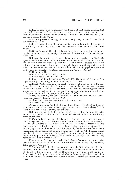13. Freud's case history underscores the truth of Rick Rylance's assertion that "the medical narrative of the nineteenth century is a porous form," although the force of professional norms by late-century should not be underestimated (269). See, for instance, Sarah Winter.

14. On the process of analogy in Freud's early analysis, see Chapter Six of my *Revising the Clinic*.

15. In its essential combativeness, Freud's collaboration with the patient is constitutively different from the "narrative write–up" that James Hunter Wood discusses.

16. Gilman's use of this point is linked to his larger argument about Freud's problematic status as a (potentially "degenerate" himself) Jew in Vienna. Gilman, "Case" 160.

17. Indeed, Freud often sought out collaborators in his early years: *Studies On Hysteria* was written with Breuer, and Kostenbaum has demonstrated how productive for Freud was his friendship with Fliess. Berkenkotter discusses how Freud relies on and manipulates Dora's words through the use of dialogue and reported speech. Showalter reviews critics who show how reliant early psychoanalysis was on hysteria in particular ("Hysteria, Feminism, and Gender," 319–20).

18. Hemmings, 110.

19. Berkenkotter, *Patient Tales*, 123–25.

20. Berkenkotter, 107, 108, 119, 125.

21. Breuer and Freud, *Studies on Hysteria*, 282. The sense of "resistance" as opposition is just as strong in the German word, *Widerstand*.

22. Joseph Wortis documents an equally uncomfortable relation with the Professor, this time from the point of view of the patient. Freud's own *Autobiography* discusses resistance as follows: "it was necessary to overcome something that fought against one in the patient; it was necessary to make an expenditure of effort on one's own part in order to compel and subdue it" (53).

23. See, for example, Showalter, *Hystories*, 94–99; Showalter, "Hysteria, Feminism, and Gender"; Kahane, *Passions*, 9–13.

24. Showalter, "Hysteria, Feminism, and Gender," 304, 333.

25. Gilman, *Freud*, 115.

26. See, for example, Auerbach, Evans, Steven Marcus (*Freud and the Culture*), Sarah Kofman, Bernheimer and Kahane, Appignanesi and Forrester, Mahony, (*Freud's Dora*), Showalter, Toews, Lehman, Berkenkotter.

27. In *Revising the Clinic*, I examine Freud's early writing to trace his debts to contrasting generic traditions: clinical scientific medical reports and the literary genre of romance.

28. Carol Berkenkotter notes that Freud is writing at a time when the convention for psychoanalytic case histories would have been chronological and scientific (103–04). She emphasizes the extent to which his case histories depart from this mode; however, as I will argue, his case histories also rely upon a rationalist underlying logic that is obscured but not diminished by his reliance on the apparent randomness of association and contiguity in his interpretations. Alfred Tauber argues that the later Freud turns away from positivism to an acceptance of the speculative nature of psychoanalysis (*Freud, the Reluctant Philosopher*); I am focusing here, however, on Freud's earlier work.

29. A number of critics in the collection *In Dora's Case* comment on the drive toward interpretation in Freud's work. See Rose, 138; Marcus 84–85; Moi, 194; Hertz, 232ff. See also Kofman, 7.

30. The original reads, "Ich beginne dann zwar die Behandlung mit der Aufforderung, mir die ganze Lebens– und Krankheitsgeschichte zu erzählen, aber was ich darauf zu hören bekomme, ist zur Orientierung noch immer nicht genügend. Diese erste Erzählung ist einem nicht schiffbaren Strom vergleichbar, dessen Bett bald durch Felsmassen verlegt, bald durch Sandbänke zerteilt und untief gemacht wird."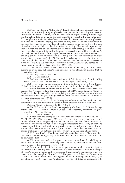31. Four years later, in "Little Hans," Freud offers a slightly different image of the jointly undertaken journey of physician and patient in uncovering resistance to unconscious material: "The physician is a step in front of [the patient] in knowledge; and the patient follows along *his own road*, until the two meet at the appointed goal" (121, emphasis added). But elsewhere it is clear that Freud envisions the physician as alongside the patient, helping him clear his way forward. In the introduction to the case, he refers to the joint task of rubble-clearing when he contrasts the ease of analysis with a child to the difficulties in tackling "the sexual impulses and wishes which we dig out so laboriously in adults from among their own debris" (6). Freud also turns to this kind of language of obstacles and rubble elsewhere. As he concludes "Wolf Man," for example, he comments, "psychoanalytic treatment . . . can only get rid of the obstacles and clear the [way]" [*nur die Hindernisse beseitigen und die Wege gangbar machen*] (278; *126*) and "psychoanalysis . . . after forcing its way through the strata of what has been acquired by the individual [*nachdem sie durch die Schichtung des individuell Erworbenen hindurchgedrungen ist*], comes at last upon traces of what has been inherited" (280; *130*).

32. The German word "Strom" has a number of meanings, including river, current, or even tide, but Freud's later reference to the streambed clarifies that he is picturing a river.

33. Mahony, *Freud's Dora*, 134.

34. See J. Gill Holland.

35. Mahony discusses the many incidents of fluid imagery in *Dora*, including "current" (*Freud's Dora,* 133–34). See also, for example, "Wolf Man," 223.

36. See, for example, her comment in *Tribute* on his essay on wit and humor: "I think it is impossible to assess this or appreciate it in the translation" (157).

37. Susan Stanford Friedman has edited H.D. and Bryher's letters from this period. See Norman Holland for a comparison of H.D.'s presentation in *Tribute to Freud* and in her letters, which more explicitly use psychoanalytic terms to discuss the progress of her analysis. Appignanesi and Forrester also discuss H.D.'s familiarity with psychoanalysis (387–88).

38. H.D., *Tribute to Freud*, 14. Subsequent references to this work are cited parenthetically in the text with the page number preceded by the designation "*TF*".

39. H.D., *Tribute to Freud*, 1, 8, 11, 17, 64; 17.

40. For H.D.'s relation to Freud, see especially Chisholm, "H.D.'S Auto*hetero*graphy" and *H.D.'S Freudian Poetics*; DuPlessis and Friedman, Friedman, "Against Discipleship"; Norman Holland.

41. H.D., *Selected Poems*, 102.

42. Other than the examples I discuss here, she refers to a river (8, 37, 53, 56, 61, 62, 128, 139); a stream (17); and of course the young man not named Brooks whose name "suggest[s] streams and rivers" (8); but these instances do not noticeably invoke the notion of a clogged, impassable river. Many of them do cluster around dreamwork and the unconscious, and around boating on or through a river. The river was an important figure for H.D., as in her *By Avon River*, an earlier challenge to an authoritative male precursor, in this case Shakespeare.

43. H.D. also invokes Freud's archaeologist metaphor, saying, "he must dig it out from its buried hiding–place, he himself must find the question before it could be answered" (84).

44. Friedman also makes this point, but reads it as less of a challenge to Freud. She argues that H.D. "resolve[s] their conflict" by focusing on the universalizing aspects of his discourse (*Psyche* 117ff).

45. In a reminder that it is best not to peg any single element of the hysterical narrative too rigidly, H.D. complicates the river metaphor's role as a critique of Freud's gender dynamic and his supposed businessman's materialism when she herself uses the metaphor, "I struck oil." The passage in *Tribute* clearly construes "I struck oil" as a materialistic, uncongenial mode of thinking about analysis, as elsewhere in *Tribute* where the "exploitation" of the oil fields is associated with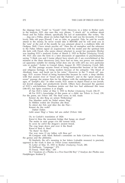the slippage from "Gods" to "Goods" (141). However, in a letter to Bryher early in the analysis, H.D. also uses this very phrase, "I struck oil," to enthuse about Freud and his Pallas Athené, specifically his *lack* of materialism. She writes, "He . . . dug out a Pallas, about six inches high that he said was his favourite. O lovely, lovely little old papa [Freud]. I am so calm, so peaceful. Fido, he said he would attend to the money, he never would take it BEFORE and he will send you in the 'note' at the end of the month: he was adamant about it, a stubborn little old Oedipus. Well, I have struck psychic oil." Here the oil metaphor and the reference to the Pallas Athene signal an acquiescence with his model and the spiritual link she feels with Freud, who seems almost reluctant to accept her payments (Bryher was funding H.D.'s analysis) (Letter of March 2, 1933 to Bryher [*Analyzing Freud*], 39). H.D. also uses the term in a later discussion of opposition to psychoanalysis, saying "I think you and I (some others) have struck oil––I am overwhelmed at the moment at the sheer discouvery [sic], have had no time, nor power, nor mechanical apparatus suitable for mining (what does one do with oil?) my own particular vein or pocket." (Letter to Conrad Aiken, August 20, 1933 [*Analyzing Freud*], 368).

46. This passage accuses Freud of being business-like because of his ethnic and religious heritage, of being modern because of his antiquity: "the blood of Abraham, Isaac, and Jacob ran in his veins." However, in the "I struck oil" passage, H.D. accuses Freud of being business-like because he *evades* a deep identity with that ancient river of "Israel and the Psalmist"; and in the "great stream or ocean" passage she praises him for his alliance with the underground river of the ages, of "Joseph's day." In other words, H.D. seems to depict Freud as too Jewish, not Jewish enough, and productively Jewish. Others have discussed the question of H.D.'s anti-Semitism; Freedman points out that few had addressed this issue (186–87), but Spiro examines it at length.

47. See H.D.'s letter of May 3, 1933 to Bryher (*Analyzing Freud*), 236–37.

48. For H.D.'s knowledge of this poem as a child, see *Tribute to Freud*, 159. For the poem, see *Tribute* 144. The final verse, in full, reads:

Kennst du den Berg un seinen Wolkensteg? Das Maultier sucht im Nebel seinen Weg;

In Höhlen wohnt der Drachen alte Brut;

Es stürzt der Fels und über ihn die Flut—

Kennst du ihn wohl?

Dahin! Dahin

Geht unser Weg! o Vater, laß uns ziehn! (*Tribute* 144)

Or, in Carlyle's translation of 1824:

Know'st thou the mountain bridge that hangs on cloud?

The mules in mist grope o'er the torrent loud,

In caves lie coil'd the dragon's ancient brood,

The crag leaps down and over it the flood:

Know'st thou it, then?

'Tis there! 'tis there

Our way runs; O my father, wilt thou go?

49. Compare with Mark Reford's comments on Italo Calvino's two Freuds, the genius and the philistine.

50. Similarly, the oil's meaning in her letters (valuable resource) is precisely opposed to the work it does in *Tribute* (crass materialism).

51. Letter of May 15, 1933 to Bryher (*Analyzing Freud*), 280.

52. DuPlessis, "Language," 273.

53. Freud, "Wolf Man," 169.

54. ("Analysis of a Phobia in a Five-Year-Old Boy" ["Analyse der Phobie enes Fünfjährigen Knaben"])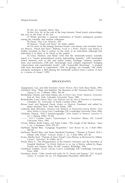55. See, for example, Hertz, Moi.

56. See *Dora*, 96, at the end of the long footnote. Freud barely acknowledges this love in the body of his text.

57. Winter provides a nuanced examination of Freud's ambiguous position among his scientific and medical colleagues.

58. Freud, *Three Case Histories*, 210.

59. Marcus, "Freud and Dora," 64, italics added.

60. For more on the analogy between Freud's case history and novelistic form, see Marcus, "Freud and Dora"; Mahony, *Freud as a Writer*. Freud's case history is further novelistic in that it centers on the trials of an individual—although that individual is as likely to be Freud as the patient.

61. Gross, Harmon, and Reidy write that the nineteenth–century scientific report is a "master presentational system approaching maturity," with meaningful formal elements such as title and author credits, headings, citations, introductions, and conclusions, (138) and "increasingly more complex arguments" bridging "observations and experimental results" with "responsible theorizing": "a gradual shift from description to explanation" (140). In geology, for example, "the whole enterprise undergoes a shift [during the nineteenth century] from a science of facts to a science of causes" (159).

#### BIBLIOGRAPHY

- Appignanesi, Lisa, and John Forrester. *Freud's Women*. New York: Basic Books, 1992. Auerbach, Nina. "Magi and Maidens: The Romance of the Victorian Freud." *Critical Inquiry* 8, no. 2 (Winter 1981): 281–99.
- Bernheimer, Charles, and Claire Kahan, eds. *In Dora's Case: Freud––Hysteria––Feminism*, 2nd ed. New York: Columbia University Press, 1990.
- Berkenkotter, Carol. *Patient Tales: Case Histories and the Uses of Narrative in Psychiatry.* Columbia, SC: University of South Carolina Press, 2008
- Breuer, Josef, and Sigmund Freud. *Studies on Hysteria*. Translated and edited by James Strachey. New York: Basic Books, 1955.

Caldwell, Janis McLarren. *Literature and Medicine in Nineteenth-Century Britain: From Mary Shelley to George Eliot*. Cambridge, UK: Cambridge University Press, 2004.

- Chisholm, Dianne. "H.D.'s Auto*hetero*graphy." *Tulsa Studies in Women's Literature* 9, no. 1 (Spring 1990): 79–106.
	- ———. *H.D.'s Freudian Poetics: Psychoanalysis in Translation*. Ithaca, NY: Cornell University Press, 1992.

Cixous, Hélène, Keith Cohen, and Paula Cohen. "The Laugh of the Medusa." *Signs* 1, no. 4 (Summer 1976): 875–93.

- DuPlessis, Rachel Blau. "Language Acquisition." *Iowa Review* 16, no. 3 (Fall 1986): 252–83.
- DuPlessis, Rachel Blau, and Susan Standford Friedman. "'Woman Is Perfect' H.D.'s Debate with Freud." *Feminist Studies* 7, no. 3 (Fall 1981): 417–30.
- Evans, Martha Noel. "Portrait of Dora: Freud's Case History as Reviewed by Hélène Cixous." *Sub-stance* 36 (1982): 64–71.
- Fissell, Mary E. "The Disappearance of the Patient's Narrative and the Invention of Hospital Medicine." In *British Medicine in an Age of Reform*, edited by Roger French and Andrew Wear, 92–109. London: Routledge, 1991.
- Frankland, Graham. *Freud's Literary Culture*. Cambridge, UK: Cambridge University Press, 2000.
- Freedman, Ariela. "Gifts, Goods and Gods: H. D., Freud and Trauma." *ESC (English Studies in Canada)* 29, no. 3–4 (September/December 2003):184–99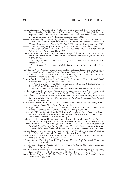- Freud, Sigmund. "Analysis of a Phobia in a Five-Year-Old Boy." Translated by James Strachey. In *The Standard Edition of the Complete Psychological Works of Sigmund Freud: The Cases Of "Little Hans" And The "Rat Man" (1809)*, edited by James Strachey, 2–149. London: Hogarth Press, 1962.
- ———. *Autobiography*. Translated by James Strachey. New York: W.W. Norton, 1935. ———. "Bruchstück Einer Hysterie-Analyse." In *Sammlung Kleiner Schriften Zur Neurosenlehre Aus Den Jahren 1893–1906*, 1–110. Leipzig: Franz Deuticke, 1921.
- ———. *Dora: An Analysis of a Case of Hysteria*. New York: Macmillan, 1963.
- ———. *Three Case Histories: The "Wolf Man," The "Rat Man," and The Psychotic Doctor Schreber*. New York: Macmillan, 1963.
- Friedman, Susan Stanford. "Against Discipleship: Collaboration and Intimacy in the Relationship of H.D. and Freud." *Literature and Psychology* 33, no. 3–4 (1987): 89–108.
- ———. ed. *Analyzing Freud: Letters of H.D., Bryher, and Their Circle*. New York: New Directions, 2002.
	- ———. *Psyche Reborn: The Emergence of H.D.* Bloomington: Indiana University Press, 1981.
- Funt, Karen Bryce. "From Memoir to Case History: Schreber, Freud, and Jung." *Mosaic: A Journal for the Interdisciplinary Study of Literature* 20, no. 4 (1987): 97–115.
- Gilles, Jonathan. "The History of the Patient History since 1850." *Bulletin of the History of Medicine* 80, no. 3 (Fall 2006): 490–512.
- Gilman, Sander L., Helen King, Roy Porter and G. S. Rousseau. *Hysteria Beyond Freud*. Berkeley: University of California Press, 1993.
	- ———. *The Case of Sigmund Freud: Medicine and Identity at the Fin de Siècle*. Baltimore: Johns Hopkins University Press, 1993.
- ———. *Freud, Race, and Gender*. Princeton, NJ: Princeton University Press, 1993.
- Goethe, Johann Wolfgang von. *Wilhelm Meister's Apprenticeship and Travels*. Translated by Thomas Carlyle. 2 vol. [1824]. London: Chapman and Hall, 1893.
- Gross, Alan G., Joseph E. Harmon, and Michael Reidy. *Communicating Science: The Scientific Article from the 17th Century to the Present*. Oxford, UK: Oxford University Press, 2002.
- H.D. *Selected Poems*. Edited by Louis L. Martz. New York: New Directions, 1988. ———. *Tribute to Freud*. New York: Pantheon, 1956.
- Hemmings, Robert. "'The Blameless Physician': Narrative and Pain, Sassoon and Rivers." *Literature and Medicine* 24, no. 1 (Spring 2005): 109–26.
- Hertz, Neil. "Dora's Secrets, Freud's Techniques." In *Dora's Case: Freud––Hysteria–– Feminism*, edited by Charles Bernheimer and Claire Kahane. 2nd ed, 221–42. New York: Columbia University Press, 1990.
- Holland, J. Gill. "George Henry Lewes and 'Stream of Consciousness': The First Use of the Term in English." *South Atlantic Review* 51, no. 1 (January 1986): 31–39.
- Holland, Norman N. "H.D.'s Analysis with Freud." *PSYART: A Hyperlink Journal for the Psychological Study of the Arts*. December 15, 2009. http://www.psyartjournal. com/article/show/n\_holland–hds\_analysis\_with\_freud (accessed April 10, 2009).
- Hunter, Kathryn Montgomery. *Doctors' Stories: The Narrative Structure of Medical Knowledge*. Princeton, NJ: Princeton University Press, 1991.
- Hurwitz, Brian. "Form and Representation in Clinical Case Reports." *Literature and Medicine* 25, no. 2 (Fall 2006): 216–40.
- Jackson, Sarah. "Touching Freud's Dog." *Angelaki: Journal of Theoretical Humanities*  15, no. 2 (2010): 187–201.
- Jacobus, Mary. *Reading Woman: Essays in Feminist Criticism*. New York: Columbia University Press, 1986.
- Kahane, Claire. *Passions of the Voice: Hysteria, Narrative, and the Figure of the Speaking Woman, 1850–1915*. Baltimore: Johns Hopkins University Press, 1995.
- Koestenbaum, Wayne. *Double Talk: The Erotics of Male Literary Collaboration*. New York: Routledge, 1989.